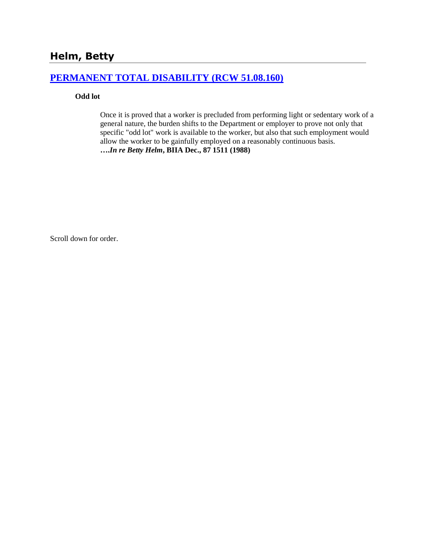# **Helm, Betty**

# **[PERMANENT TOTAL DISABILITY \(RCW 51.08.160\)](http://www.biia.wa.gov/SDSubjectIndex.html#PERMANENT_TOTAL_DISABILITY)**

### **Odd lot**

Once it is proved that a worker is precluded from performing light or sedentary work of a general nature, the burden shifts to the Department or employer to prove not only that specific "odd lot" work is available to the worker, but also that such employment would allow the worker to be gainfully employed on a reasonably continuous basis. **….***In re Betty Helm***, BIIA Dec., 87 1511 (1988)**

Scroll down for order.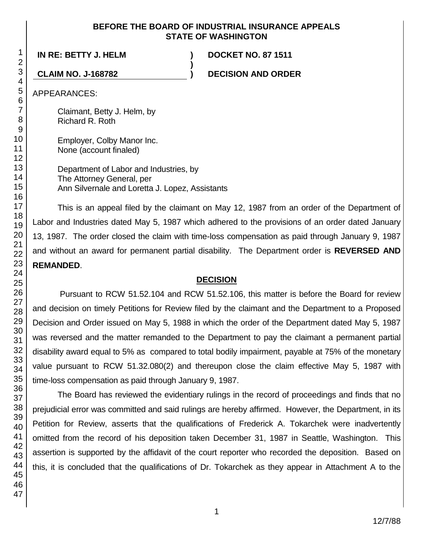### **BEFORE THE BOARD OF INDUSTRIAL INSURANCE APPEALS STATE OF WASHINGTON**

**)**

**IN RE: BETTY J. HELM ) DOCKET NO. 87 1511**

**CLAIM NO. J-168782 ) DECISION AND ORDER**

APPEARANCES:

Claimant, Betty J. Helm, by Richard R. Roth

Employer, Colby Manor Inc. None (account finaled)

Department of Labor and Industries, by The Attorney General, per Ann Silvernale and Loretta J. Lopez, Assistants

This is an appeal filed by the claimant on May 12, 1987 from an order of the Department of Labor and Industries dated May 5, 1987 which adhered to the provisions of an order dated January 13, 1987. The order closed the claim with time-loss compensation as paid through January 9, 1987 and without an award for permanent partial disability. The Department order is **REVERSED AND REMANDED**.

## **DECISION**

Pursuant to RCW 51.52.104 and RCW 51.52.106, this matter is before the Board for review and decision on timely Petitions for Review filed by the claimant and the Department to a Proposed Decision and Order issued on May 5, 1988 in which the order of the Department dated May 5, 1987 was reversed and the matter remanded to the Department to pay the claimant a permanent partial disability award equal to 5% as compared to total bodily impairment, payable at 75% of the monetary value pursuant to RCW 51.32.080(2) and thereupon close the claim effective May 5, 1987 with time-loss compensation as paid through January 9, 1987.

The Board has reviewed the evidentiary rulings in the record of proceedings and finds that no prejudicial error was committed and said rulings are hereby affirmed. However, the Department, in its Petition for Review, asserts that the qualifications of Frederick A. Tokarchek were inadvertently omitted from the record of his deposition taken December 31, 1987 in Seattle, Washington. This assertion is supported by the affidavit of the court reporter who recorded the deposition. Based on this, it is concluded that the qualifications of Dr. Tokarchek as they appear in Attachment A to the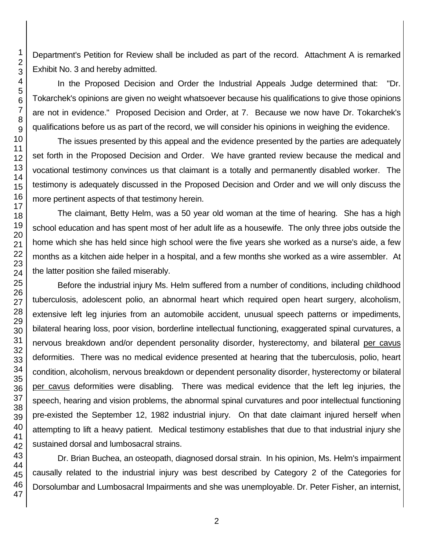Department's Petition for Review shall be included as part of the record. Attachment A is remarked Exhibit No. 3 and hereby admitted.

In the Proposed Decision and Order the Industrial Appeals Judge determined that: "Dr. Tokarchek's opinions are given no weight whatsoever because his qualifications to give those opinions are not in evidence." Proposed Decision and Order, at 7. Because we now have Dr. Tokarchek's qualifications before us as part of the record, we will consider his opinions in weighing the evidence.

The issues presented by this appeal and the evidence presented by the parties are adequately set forth in the Proposed Decision and Order. We have granted review because the medical and vocational testimony convinces us that claimant is a totally and permanently disabled worker. The testimony is adequately discussed in the Proposed Decision and Order and we will only discuss the more pertinent aspects of that testimony herein.

The claimant, Betty Helm, was a 50 year old woman at the time of hearing. She has a high school education and has spent most of her adult life as a housewife. The only three jobs outside the home which she has held since high school were the five years she worked as a nurse's aide, a few months as a kitchen aide helper in a hospital, and a few months she worked as a wire assembler. At the latter position she failed miserably.

Before the industrial injury Ms. Helm suffered from a number of conditions, including childhood tuberculosis, adolescent polio, an abnormal heart which required open heart surgery, alcoholism, extensive left leg injuries from an automobile accident, unusual speech patterns or impediments, bilateral hearing loss, poor vision, borderline intellectual functioning, exaggerated spinal curvatures, a nervous breakdown and/or dependent personality disorder, hysterectomy, and bilateral per cavus deformities. There was no medical evidence presented at hearing that the tuberculosis, polio, heart condition, alcoholism, nervous breakdown or dependent personality disorder, hysterectomy or bilateral per cavus deformities were disabling. There was medical evidence that the left leg injuries, the speech, hearing and vision problems, the abnormal spinal curvatures and poor intellectual functioning pre-existed the September 12, 1982 industrial injury. On that date claimant injured herself when attempting to lift a heavy patient. Medical testimony establishes that due to that industrial injury she sustained dorsal and lumbosacral strains.

Dr. Brian Buchea, an osteopath, diagnosed dorsal strain. In his opinion, Ms. Helm's impairment causally related to the industrial injury was best described by Category 2 of the Categories for Dorsolumbar and Lumbosacral Impairments and she was unemployable. Dr. Peter Fisher, an internist,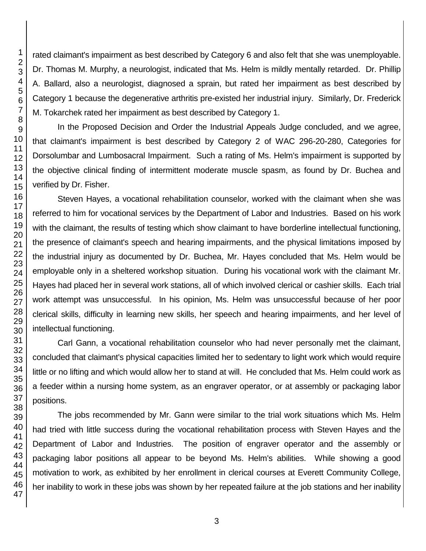rated claimant's impairment as best described by Category 6 and also felt that she was unemployable. Dr. Thomas M. Murphy, a neurologist, indicated that Ms. Helm is mildly mentally retarded. Dr. Phillip A. Ballard, also a neurologist, diagnosed a sprain, but rated her impairment as best described by Category 1 because the degenerative arthritis pre-existed her industrial injury. Similarly, Dr. Frederick M. Tokarchek rated her impairment as best described by Category 1.

In the Proposed Decision and Order the Industrial Appeals Judge concluded, and we agree, that claimant's impairment is best described by Category 2 of WAC 296-20-280, Categories for Dorsolumbar and Lumbosacral Impairment. Such a rating of Ms. Helm's impairment is supported by the objective clinical finding of intermittent moderate muscle spasm, as found by Dr. Buchea and verified by Dr. Fisher.

Steven Hayes, a vocational rehabilitation counselor, worked with the claimant when she was referred to him for vocational services by the Department of Labor and Industries. Based on his work with the claimant, the results of testing which show claimant to have borderline intellectual functioning, the presence of claimant's speech and hearing impairments, and the physical limitations imposed by the industrial injury as documented by Dr. Buchea, Mr. Hayes concluded that Ms. Helm would be employable only in a sheltered workshop situation. During his vocational work with the claimant Mr. Hayes had placed her in several work stations, all of which involved clerical or cashier skills. Each trial work attempt was unsuccessful. In his opinion, Ms. Helm was unsuccessful because of her poor clerical skills, difficulty in learning new skills, her speech and hearing impairments, and her level of intellectual functioning.

Carl Gann, a vocational rehabilitation counselor who had never personally met the claimant, concluded that claimant's physical capacities limited her to sedentary to light work which would require little or no lifting and which would allow her to stand at will. He concluded that Ms. Helm could work as a feeder within a nursing home system, as an engraver operator, or at assembly or packaging labor positions.

The jobs recommended by Mr. Gann were similar to the trial work situations which Ms. Helm had tried with little success during the vocational rehabilitation process with Steven Hayes and the Department of Labor and Industries. The position of engraver operator and the assembly or packaging labor positions all appear to be beyond Ms. Helm's abilities. While showing a good motivation to work, as exhibited by her enrollment in clerical courses at Everett Community College, her inability to work in these jobs was shown by her repeated failure at the job stations and her inability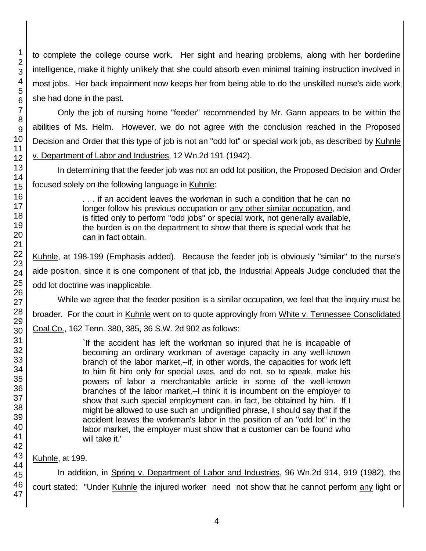to complete the college course work. Her sight and hearing problems, along with her borderline intelligence, make it highly unlikely that she could absorb even minimal training instruction involved in most jobs. Her back impairment now keeps her from being able to do the unskilled nurse's aide work she had done in the past.

Only the job of nursing home "feeder" recommended by Mr. Gann appears to be within the abilities of Ms. Helm. However, we do not agree with the conclusion reached in the Proposed Decision and Order that this type of job is not an "odd lot" or special work job, as described by Kuhnle v. Department of Labor and Industries, 12 Wn.2d 191 (1942).

In determining that the feeder job was not an odd lot position, the Proposed Decision and Order focused solely on the following language in Kuhnle:

> . . . if an accident leaves the workman in such a condition that he can no longer follow his previous occupation or any other similar occupation, and is fitted only to perform "odd jobs" or special work, not generally available, the burden is on the department to show that there is special work that he can in fact obtain.

Kuhnle, at 198-199 (Emphasis added). Because the feeder job is obviously "similar" to the nurse's aide position, since it is one component of that job, the Industrial Appeals Judge concluded that the odd lot doctrine was inapplicable.

While we agree that the feeder position is a similar occupation, we feel that the inquiry must be broader. For the court in Kuhnle went on to quote approvingly from White v. Tennessee Consolidated

Coal Co., 162 Tenn. 380, 385, 36 S.W. 2d 902 as follows:

`If the accident has left the workman so injured that he is incapable of becoming an ordinary workman of average capacity in any well-known branch of the labor market,--if, in other words, the capacities for work left to him fit him only for special uses, and do not, so to speak, make his powers of labor a merchantable article in some of the well-known branches of the labor market,--I think it is incumbent on the employer to show that such special employment can, in fact, be obtained by him. If I might be allowed to use such an undignified phrase, I should say that if the accident leaves the workman's labor in the position of an "odd lot" in the labor market, the employer must show that a customer can be found who will take it.'

Kuhnle, at 199.

In addition, in Spring v. Department of Labor and Industries, 96 Wn.2d 914, 919 (1982), the court stated: "Under Kuhnle the injured worker need not show that he cannot perform any light or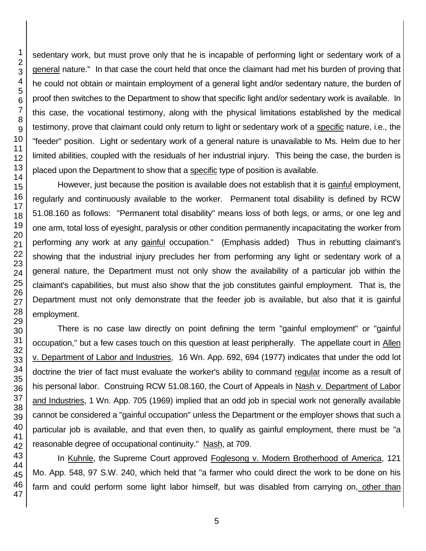sedentary work, but must prove only that he is incapable of performing light or sedentary work of a general nature." In that case the court held that once the claimant had met his burden of proving that he could not obtain or maintain employment of a general light and/or sedentary nature, the burden of proof then switches to the Department to show that specific light and/or sedentary work is available. In this case, the vocational testimony, along with the physical limitations established by the medical testimony, prove that claimant could only return to light or sedentary work of a specific nature, i.e., the "feeder" position. Light or sedentary work of a general nature is unavailable to Ms. Helm due to her limited abilities, coupled with the residuals of her industrial injury. This being the case, the burden is placed upon the Department to show that a specific type of position is available.

However, just because the position is available does not establish that it is gainful employment, regularly and continuously available to the worker. Permanent total disability is defined by RCW 51.08.160 as follows: "Permanent total disability" means loss of both legs, or arms, or one leg and one arm, total loss of eyesight, paralysis or other condition permanently incapacitating the worker from performing any work at any gainful occupation." (Emphasis added) Thus in rebutting claimant's showing that the industrial injury precludes her from performing any light or sedentary work of a general nature, the Department must not only show the availability of a particular job within the claimant's capabilities, but must also show that the job constitutes gainful employment. That is, the Department must not only demonstrate that the feeder job is available, but also that it is gainful employment.

There is no case law directly on point defining the term "gainful employment" or "gainful occupation," but a few cases touch on this question at least peripherally. The appellate court in Allen v. Department of Labor and Industries, 16 Wn. App. 692, 694 (1977) indicates that under the odd lot doctrine the trier of fact must evaluate the worker's ability to command regular income as a result of his personal labor. Construing RCW 51.08.160, the Court of Appeals in Nash v. Department of Labor and Industries, 1 Wn. App. 705 (1969) implied that an odd job in special work not generally available cannot be considered a "gainful occupation" unless the Department or the employer shows that such a particular job is available, and that even then, to qualify as gainful employment, there must be "a reasonable degree of occupational continuity." Nash, at 709.

In Kuhnle, the Supreme Court approved Foglesong v. Modern Brotherhood of America, 121 Mo. App. 548, 97 S.W. 240, which held that "a farmer who could direct the work to be done on his farm and could perform some light labor himself, but was disabled from carrying on, other than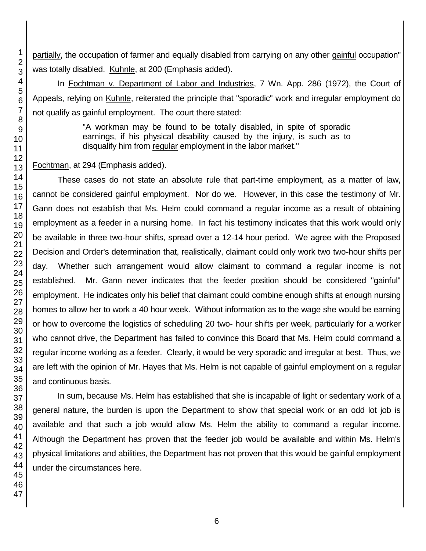partially, the occupation of farmer and equally disabled from carrying on any other gainful occupation" was totally disabled. Kuhnle, at 200 (Emphasis added).

In Fochtman v. Department of Labor and Industries, 7 Wn. App. 286 (1972), the Court of Appeals, relying on Kuhnle, reiterated the principle that "sporadic" work and irregular employment do not qualify as gainful employment. The court there stated:

> "A workman may be found to be totally disabled, in spite of sporadic earnings, if his physical disability caused by the injury, is such as to disqualify him from regular employment in the labor market."

Fochtman, at 294 (Emphasis added).

These cases do not state an absolute rule that part-time employment, as a matter of law, cannot be considered gainful employment. Nor do we. However, in this case the testimony of Mr. Gann does not establish that Ms. Helm could command a regular income as a result of obtaining employment as a feeder in a nursing home. In fact his testimony indicates that this work would only be available in three two-hour shifts, spread over a 12-14 hour period. We agree with the Proposed Decision and Order's determination that, realistically, claimant could only work two two-hour shifts per day. Whether such arrangement would allow claimant to command a regular income is not established. Mr. Gann never indicates that the feeder position should be considered "gainful" employment. He indicates only his belief that claimant could combine enough shifts at enough nursing homes to allow her to work a 40 hour week. Without information as to the wage she would be earning or how to overcome the logistics of scheduling 20 two- hour shifts per week, particularly for a worker who cannot drive, the Department has failed to convince this Board that Ms. Helm could command a regular income working as a feeder. Clearly, it would be very sporadic and irregular at best. Thus, we are left with the opinion of Mr. Hayes that Ms. Helm is not capable of gainful employment on a regular and continuous basis.

In sum, because Ms. Helm has established that she is incapable of light or sedentary work of a general nature, the burden is upon the Department to show that special work or an odd lot job is available and that such a job would allow Ms. Helm the ability to command a regular income. Although the Department has proven that the feeder job would be available and within Ms. Helm's physical limitations and abilities, the Department has not proven that this would be gainful employment under the circumstances here.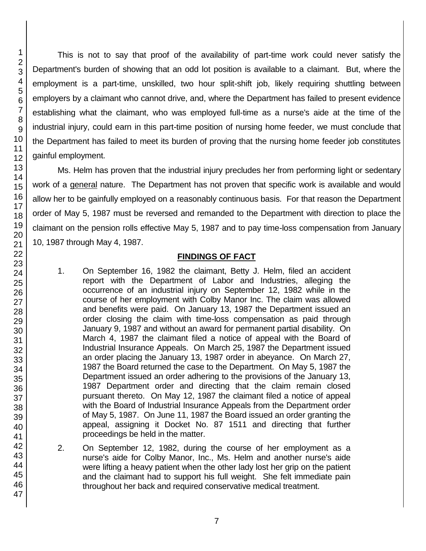This is not to say that proof of the availability of part-time work could never satisfy the Department's burden of showing that an odd lot position is available to a claimant. But, where the employment is a part-time, unskilled, two hour split-shift job, likely requiring shuttling between employers by a claimant who cannot drive, and, where the Department has failed to present evidence establishing what the claimant, who was employed full-time as a nurse's aide at the time of the industrial injury, could earn in this part-time position of nursing home feeder, we must conclude that the Department has failed to meet its burden of proving that the nursing home feeder job constitutes gainful employment.

Ms. Helm has proven that the industrial injury precludes her from performing light or sedentary work of a general nature. The Department has not proven that specific work is available and would allow her to be gainfully employed on a reasonably continuous basis. For that reason the Department order of May 5, 1987 must be reversed and remanded to the Department with direction to place the claimant on the pension rolls effective May 5, 1987 and to pay time-loss compensation from January 10, 1987 through May 4, 1987.

### **FINDINGS OF FACT**

- 1. On September 16, 1982 the claimant, Betty J. Helm, filed an accident report with the Department of Labor and Industries, alleging the occurrence of an industrial injury on September 12, 1982 while in the course of her employment with Colby Manor Inc. The claim was allowed and benefits were paid. On January 13, 1987 the Department issued an order closing the claim with time-loss compensation as paid through January 9, 1987 and without an award for permanent partial disability. On March 4, 1987 the claimant filed a notice of appeal with the Board of Industrial Insurance Appeals. On March 25, 1987 the Department issued an order placing the January 13, 1987 order in abeyance. On March 27, 1987 the Board returned the case to the Department. On May 5, 1987 the Department issued an order adhering to the provisions of the January 13, 1987 Department order and directing that the claim remain closed pursuant thereto. On May 12, 1987 the claimant filed a notice of appeal with the Board of Industrial Insurance Appeals from the Department order of May 5, 1987. On June 11, 1987 the Board issued an order granting the appeal, assigning it Docket No. 87 1511 and directing that further proceedings be held in the matter.
- 2. On September 12, 1982, during the course of her employment as a nurse's aide for Colby Manor, Inc., Ms. Helm and another nurse's aide were lifting a heavy patient when the other lady lost her grip on the patient and the claimant had to support his full weight. She felt immediate pain throughout her back and required conservative medical treatment.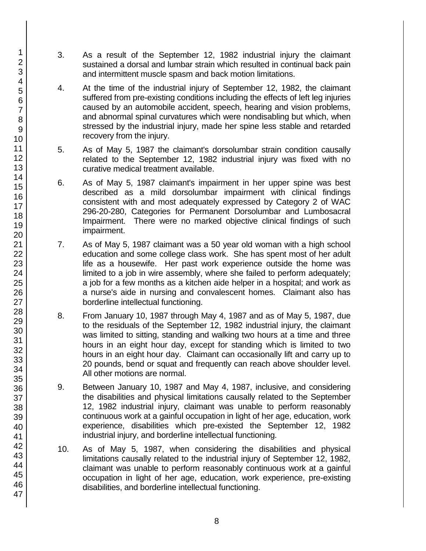- 3. As a result of the September 12, 1982 industrial injury the claimant sustained a dorsal and lumbar strain which resulted in continual back pain and intermittent muscle spasm and back motion limitations.
- 4. At the time of the industrial injury of September 12, 1982, the claimant suffered from pre-existing conditions including the effects of left leg injuries caused by an automobile accident, speech, hearing and vision problems, and abnormal spinal curvatures which were nondisabling but which, when stressed by the industrial injury, made her spine less stable and retarded recovery from the injury.
- 5. As of May 5, 1987 the claimant's dorsolumbar strain condition causally related to the September 12, 1982 industrial injury was fixed with no curative medical treatment available.
- 6. As of May 5, 1987 claimant's impairment in her upper spine was best described as a mild dorsolumbar impairment with clinical findings consistent with and most adequately expressed by Category 2 of WAC 296-20-280, Categories for Permanent Dorsolumbar and Lumbosacral Impairment. There were no marked objective clinical findings of such impairment.
- 7. As of May 5, 1987 claimant was a 50 year old woman with a high school education and some college class work. She has spent most of her adult life as a housewife. Her past work experience outside the home was limited to a job in wire assembly, where she failed to perform adequately; a job for a few months as a kitchen aide helper in a hospital; and work as a nurse's aide in nursing and convalescent homes. Claimant also has borderline intellectual functioning.
- 8. From January 10, 1987 through May 4, 1987 and as of May 5, 1987, due to the residuals of the September 12, 1982 industrial injury, the claimant was limited to sitting, standing and walking two hours at a time and three hours in an eight hour day, except for standing which is limited to two hours in an eight hour day. Claimant can occasionally lift and carry up to 20 pounds, bend or squat and frequently can reach above shoulder level. All other motions are normal.
- 9. Between January 10, 1987 and May 4, 1987, inclusive, and considering the disabilities and physical limitations causally related to the September 12, 1982 industrial injury, claimant was unable to perform reasonably continuous work at a gainful occupation in light of her age, education, work experience, disabilities which pre-existed the September 12, 1982 industrial injury, and borderline intellectual functioning.
- 10. As of May 5, 1987, when considering the disabilities and physical limitations causally related to the industrial injury of September 12, 1982, claimant was unable to perform reasonably continuous work at a gainful occupation in light of her age, education, work experience, pre-existing disabilities, and borderline intellectual functioning.